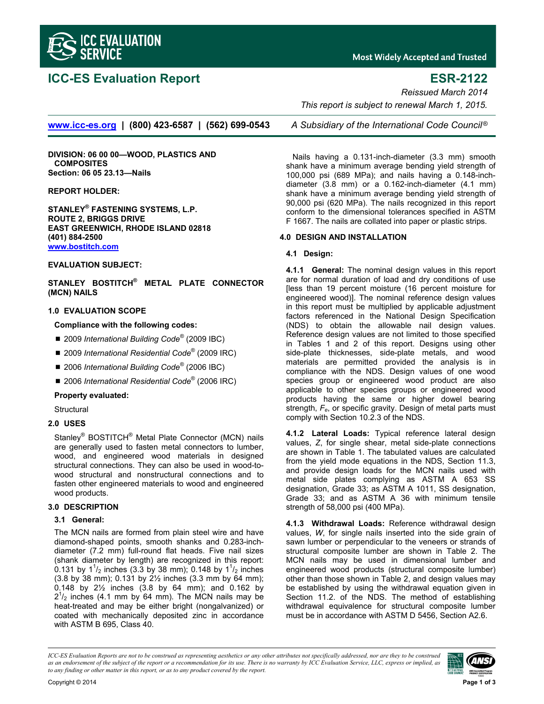

# **ICC-ES Evaluation Report ESR-2122**

**Most Widely Accepted and Trusted** 

*Reissued March 2014* 

 *This report is subject to renewal March 1, 2015.* 

**www.icc-es.org | (800) 423-6587 | (562) 699-0543** *A Subsidiary of the International Code Council* ®

**DIVISION: 06 00 00—WOOD, PLASTICS AND COMPOSITES Section: 06 05 23.13—Nails** 

### **REPORT HOLDER:**

**STANLEY® FASTENING SYSTEMS, L.P. ROUTE 2, BRIGGS DRIVE EAST GREENWICH, RHODE ISLAND 02818 (401) 884-2500 www.bostitch.com**

#### **EVALUATION SUBJECT:**

**STANLEY BOSTITCH® METAL PLATE CONNECTOR (MCN) NAILS** 

#### **1.0 EVALUATION SCOPE**

### **Compliance with the following codes:**

- 2009 *International Building Code<sup>®</sup> (2009 IBC)*
- 2009 International Residential Code<sup>®</sup> (2009 IRC)
- 2006 *International Building Code<sup>®</sup>* (2006 IBC)
- 2006 *International Residential Code*<sup>®</sup> (2006 IRC)

#### **Property evaluated:**

**Structural** 

### **2.0 USES**

Stanley® BOSTITCH<sup>®</sup> Metal Plate Connector (MCN) nails are generally used to fasten metal connectors to lumber, wood, and engineered wood materials in designed structural connections. They can also be used in wood-towood structural and nonstructural connections and to fasten other engineered materials to wood and engineered wood products.

### **3.0 DESCRIPTION**

#### **3.1 General:**

The MCN nails are formed from plain steel wire and have diamond-shaped points, smooth shanks and 0.283-inchdiameter (7.2 mm) full-round flat heads. Five nail sizes (shank diameter by length) are recognized in this report: 0.131 by  $1^{1}/_{2}$  inches (3.3 by 38 mm); 0.148 by  $1^{1}/_{2}$  inches (3.8 by 38 mm); 0.131 by 2½ inches (3.3 mm by 64 mm); 0.148 by 2½ inches (3.8 by 64 mm); and 0.162 by  $2^{1/2}$  inches (4.1 mm by 64 mm). The MCN nails may be heat-treated and may be either bright (nongalvanized) or coated with mechanically deposited zinc in accordance with ASTM B 695, Class 40.

Nails having a 0.131-inch-diameter (3.3 mm) smooth shank have a minimum average bending yield strength of 100,000 psi (689 MPa); and nails having a 0.148-inchdiameter (3.8 mm) or a 0.162-inch-diameter (4.1 mm) shank have a minimum average bending yield strength of 90,000 psi (620 MPa). The nails recognized in this report conform to the dimensional tolerances specified in ASTM F 1667. The nails are collated into paper or plastic strips.

#### **4.0 DESIGN AND INSTALLATION**

### **4.1 Design:**

**4.1.1 General:** The nominal design values in this report are for normal duration of load and dry conditions of use [less than 19 percent moisture (16 percent moisture for engineered wood)]. The nominal reference design values in this report must be multiplied by applicable adjustment factors referenced in the National Design Specification (NDS) to obtain the allowable nail design values. Reference design values are not limited to those specified in Tables 1 and 2 of this report. Designs using other side-plate thicknesses, side-plate metals, and wood materials are permitted provided the analysis is in compliance with the NDS. Design values of one wood species group or engineered wood product are also applicable to other species groups or engineered wood products having the same or higher dowel bearing strength, *Fe*, or specific gravity. Design of metal parts must comply with Section 10.2.3 of the NDS.

**4.1.2 Lateral Loads:** Typical reference lateral design values, *Z*, for single shear, metal side-plate connections are shown in Table 1. The tabulated values are calculated from the yield mode equations in the NDS, Section 11.3, and provide design loads for the MCN nails used with metal side plates complying as ASTM A 653 SS designation, Grade 33; as ASTM A 1011, SS designation, Grade 33; and as ASTM A 36 with minimum tensile strength of 58,000 psi (400 MPa).

**4.1.3 Withdrawal Loads:** Reference withdrawal design values, *W*, for single nails inserted into the side grain of sawn lumber or perpendicular to the veneers or strands of structural composite lumber are shown in Table 2. The MCN nails may be used in dimensional lumber and engineered wood products (structural composite lumber) other than those shown in Table 2, and design values may be established by using the withdrawal equation given in Section 11.2. of the NDS. The method of establishing withdrawal equivalence for structural composite lumber must be in accordance with ASTM D 5456, Section A2.6.

*ICC-ES Evaluation Reports are not to be construed as representing aesthetics or any other attributes not specifically addressed, nor are they to be construed as an endorsement of the subject of the report or a recommendation for its use. There is no warranty by ICC Evaluation Service, LLC, express or implied, as to any finding or other matter in this report, or as to any product covered by the report.*

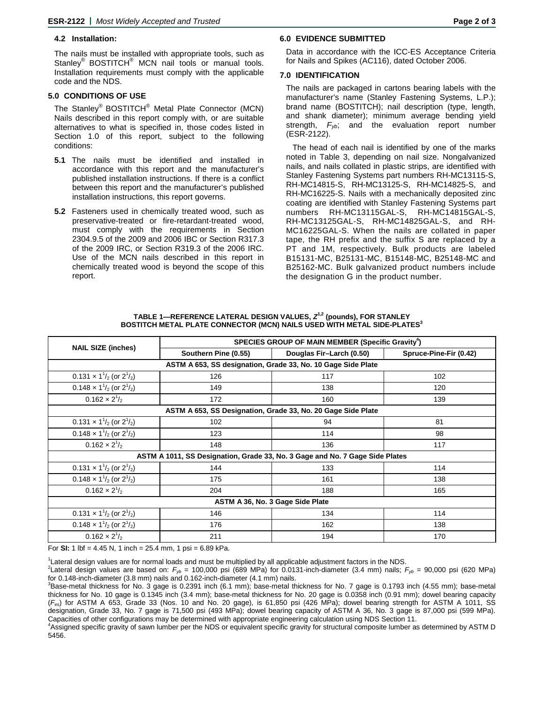#### **4.2 Installation:**

The nails must be installed with appropriate tools, such as Stanley<sup>®</sup> BOSTITCH<sup>®</sup> MCN nail tools or manual tools. Installation requirements must comply with the applicable code and the NDS.

#### **5.0 CONDITIONS OF USE**

The Stanley® BOSTITCH® Metal Plate Connector (MCN) Nails described in this report comply with, or are suitable alternatives to what is specified in, those codes listed in Section 1.0 of this report, subject to the following conditions:

- **5.1** The nails must be identified and installed in accordance with this report and the manufacturer's published installation instructions. If there is a conflict between this report and the manufacturer's published installation instructions, this report governs.
- **5.2** Fasteners used in chemically treated wood, such as preservative-treated or fire-retardant-treated wood, must comply with the requirements in Section 2304.9.5 of the 2009 and 2006 IBC or Section R317.3 of the 2009 IRC, or Section R319.3 of the 2006 IRC. Use of the MCN nails described in this report in chemically treated wood is beyond the scope of this report.

### **6.0 EVIDENCE SUBMITTED**

Data in accordance with the ICC-ES Acceptance Criteria for Nails and Spikes (AC116), dated October 2006.

#### **7.0 IDENTIFICATION**

The nails are packaged in cartons bearing labels with the manufacturer's name (Stanley Fastening Systems, L.P.); brand name (BOSTITCH); nail description (type, length, and shank diameter); minimum average bending yield strength,  $F_{yb}$ ; and the evaluation report number (ESR-2122).

The head of each nail is identified by one of the marks noted in Table 3, depending on nail size. Nongalvanized nails, and nails collated in plastic strips, are identified with Stanley Fastening Systems part numbers RH-MC13115-S, RH-MC14815-S, RH-MC13125-S, RH-MC14825-S, and RH-MC16225-S. Nails with a mechanically deposited zinc coating are identified with Stanley Fastening Systems part numbers RH-MC13115GAL-S, RH-MC14815GAL-S, RH-MC13125GAL-S, RH-MC14825GAL-S, and RH-MC16225GAL-S. When the nails are collated in paper tape, the RH prefix and the suffix S are replaced by a PT and 1M, respectively. Bulk products are labeled B15131-MC, B25131-MC, B15148-MC, B25148-MC and B25162-MC. Bulk galvanized product numbers include the designation G in the product number.

| TABLE 1-REFERENCE LATERAL DESIGN VALUES, $Z^{1,2}$ (pounds), FOR STANLEY    |
|-----------------------------------------------------------------------------|
| BOSTITCH METAL PLATE CONNECTOR (MCN) NAILS USED WITH METAL SIDE-PLATES $^3$ |

|                                                                              | SPECIES GROUP OF MAIN MEMBER (Specific Gravity <sup>4</sup> ) |                          |                        |  |  |  |
|------------------------------------------------------------------------------|---------------------------------------------------------------|--------------------------|------------------------|--|--|--|
| <b>NAIL SIZE (inches)</b>                                                    | Southern Pine (0.55)                                          | Douglas Fir-Larch (0.50) | Spruce-Pine-Fir (0.42) |  |  |  |
| ASTM A 653, SS designation, Grade 33, No. 10 Gage Side Plate                 |                                                               |                          |                        |  |  |  |
| $0.131 \times 1^{1/2}$ (or $2^{1/2}$ )                                       | 126                                                           | 117                      | 102                    |  |  |  |
| $0.148 \times 1^{1/2}$ (or $2^{1/2}$ )                                       | 149                                                           | 138                      | 120                    |  |  |  |
| $0.162 \times 2^{1/2}$                                                       | 172                                                           | 160                      | 139                    |  |  |  |
| ASTM A 653, SS Designation, Grade 33, No. 20 Gage Side Plate                 |                                                               |                          |                        |  |  |  |
| $0.131 \times 1^{1/2}$ (or $2^{1/2}$ )                                       | 102                                                           | 94                       | 81                     |  |  |  |
| $0.148 \times 1^{1/2}$ (or $2^{1/2}$ )                                       | 123                                                           | 114                      | 98                     |  |  |  |
| $0.162 \times 2^{1/2}$                                                       | 148                                                           | 136                      | 117                    |  |  |  |
| ASTM A 1011, SS Designation, Grade 33, No. 3 Gage and No. 7 Gage Side Plates |                                                               |                          |                        |  |  |  |
| $0.131 \times 1^{1/2}$ (or $2^{1/2}$ )                                       | 144                                                           | 133                      | 114                    |  |  |  |
| $0.148 \times 1^{1/2}$ (or $2^{1/2}$ )                                       | 175                                                           | 161                      | 138                    |  |  |  |
| $0.162 \times 2^{1/2}$                                                       | 204                                                           | 188                      | 165                    |  |  |  |
| ASTM A 36, No. 3 Gage Side Plate                                             |                                                               |                          |                        |  |  |  |
| $0.131 \times 1^{1/2}$ (or $2^{1/2}$ )                                       | 146                                                           | 134                      | 114                    |  |  |  |
| $0.148 \times 1^{1/2}$ (or $2^{1/2}$ )                                       | 176                                                           | 162                      | 138                    |  |  |  |
| $0.162 \times 2^{1/2}$                                                       | 211                                                           | 194                      | 170                    |  |  |  |

For **SI:** 1 lbf = 4.45 N, 1 inch = 25.4 mm, 1 psi = 6.89 kPa.

<sup>1</sup> Lateral design values are for normal loads and must be multiplied by all applicable adjustment factors in the NDS.<br><sup>2</sup> eterni design values are based an:  $F = 100,000$  psi (690 MDs) for 0.0121 insb diameter (2.4 mm) ps

<sup>2</sup>Lateral design values are based on:  $F_{\nu b}$  = 100,000 psi (689 MPa) for 0.0131-inch-diameter (3.4 mm) nails;  $F_{\nu b}$  = 90,000 psi (620 MPa) for 0.148-inch-diameter (3.8 mm) nails and 0.162-inch-diameter (4.1 mm) nails.

3 Base-metal thickness for No. 3 gage is 0.2391 inch (6.1 mm); base-metal thickness for No. 7 gage is 0.1793 inch (4.55 mm); base-metal thickness for No. 10 gage is 0.1345 inch (3.4 mm); base-metal thickness for No. 20 gage is 0.0358 inch (0.91 mm); dowel bearing capacity (*Fes*) for ASTM A 653, Grade 33 (Nos. 10 and No. 20 gage), is 61,850 psi (426 MPa); dowel bearing strength for ASTM A 1011, SS designation, Grade 33, No. 7 gage is 71,500 psi (493 MPa); dowel bearing capacity of ASTM A 36, No. 3 gage is 87,000 psi (599 MPa). Capacities of other configurations may be determined with appropriate engineering calculation using NDS Section 11. 4

Assigned specific gravity of sawn lumber per the NDS or equivalent specific gravity for structural composite lumber as determined by ASTM D 5456.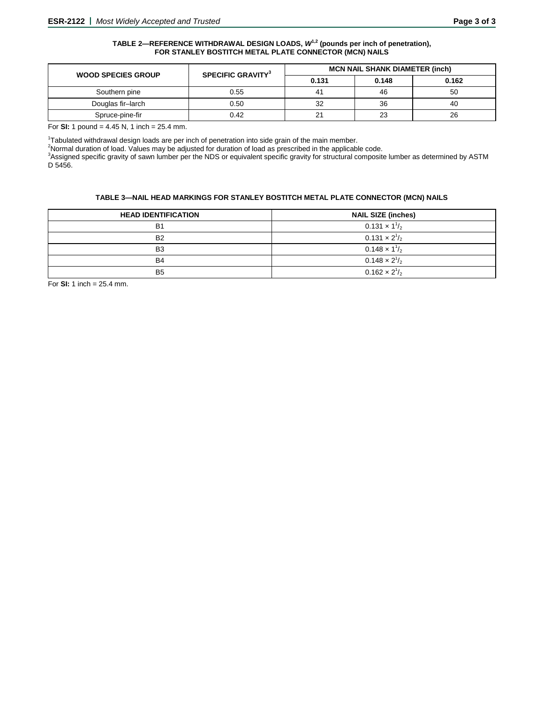#### TABLE 2—REFERENCE WITHDRAWAL DESIGN LOADS,  $W^{1,2}$  (pounds per inch of penetration), **FOR STANLEY BOSTITCH METAL PLATE CONNECTOR (MCN) NAILS**

| <b>WOOD SPECIES GROUP</b> | <b>SPECIFIC GRAVITY<sup>3</sup></b> | <b>MCN NAIL SHANK DIAMETER (inch)</b> |       |       |
|---------------------------|-------------------------------------|---------------------------------------|-------|-------|
|                           |                                     | 0.131                                 | 0.148 | 0.162 |
| Southern pine             | 0.55                                |                                       | 46    | 50    |
| Douglas fir-larch         | 0.50                                | 32                                    | 36    | 40    |
| Spruce-pine-fir           | 0.42                                | 21                                    | 23    | 26    |

For **SI:** 1 pound = 4.45 N, 1 inch = 25.4 mm.

<sup>1</sup>Tabulated withdrawal design loads are per inch of penetration into side grain of the main member.<br><sup>2</sup>Nexmal duration of load Values may be adjusted for duration of load as preseribed in the epplicabl

 $^{2}$ Normal duration of load. Values may be adjusted for duration of load as prescribed in the applicable code.

<sup>3</sup>Assigned specific gravity of sawn lumber per the NDS or equivalent specific gravity for structural composite lumber as determined by ASTM D 5456.

#### **TABLE 3—NAIL HEAD MARKINGS FOR STANLEY BOSTITCH METAL PLATE CONNECTOR (MCN) NAILS**

| <b>HEAD IDENTIFICATION</b> | <b>NAIL SIZE (inches)</b> |
|----------------------------|---------------------------|
| <b>B1</b>                  | $0.131 \times 1^{1}/_{2}$ |
| B <sub>2</sub>             | $0.131 \times 2^{1/2}$    |
| B <sub>3</sub>             | $0.148 \times 1^{1/2}$    |
| <b>B4</b>                  | $0.148 \times 2^{1/2}$    |
| B <sub>5</sub>             | $0.162 \times 2^{1/2}$    |

For **SI:** 1 inch = 25.4 mm.